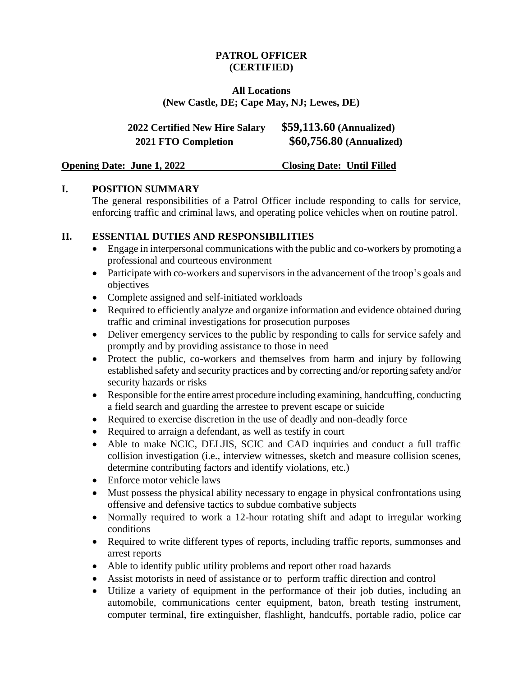### **PATROL OFFICER (CERTIFIED)**

#### **All Locations (New Castle, DE; Cape May, NJ; Lewes, DE)**

| <b>2022 Certified New Hire Salary</b> | $$59,113.60$ (Annualized) |
|---------------------------------------|---------------------------|
| <b>2021 FTO Completion</b>            | \$60,756.80 (Annualized)  |

**Opening Date: June 1, 2022 Closing Date: Until Filled** 

## **I. POSITION SUMMARY**

The general responsibilities of a Patrol Officer include responding to calls for service, enforcing traffic and criminal laws, and operating police vehicles when on routine patrol.

### **II. ESSENTIAL DUTIES AND RESPONSIBILITIES**

- Engage in interpersonal communications with the public and co-workers by promoting a professional and courteous environment
- Participate with co-workers and supervisors in the advancement of the troop's goals and objectives
- Complete assigned and self-initiated workloads
- Required to efficiently analyze and organize information and evidence obtained during traffic and criminal investigations for prosecution purposes
- Deliver emergency services to the public by responding to calls for service safely and promptly and by providing assistance to those in need
- Protect the public, co-workers and themselves from harm and injury by following established safety and security practices and by correcting and/or reporting safety and/or security hazards or risks
- Responsible for the entire arrest procedure including examining, handcuffing, conducting a field search and guarding the arrestee to prevent escape or suicide
- Required to exercise discretion in the use of deadly and non-deadly force
- Required to arraign a defendant, as well as testify in court
- Able to make NCIC, DELJIS, SCIC and CAD inquiries and conduct a full traffic collision investigation (i.e., interview witnesses, sketch and measure collision scenes, determine contributing factors and identify violations, etc.)
- Enforce motor vehicle laws
- Must possess the physical ability necessary to engage in physical confrontations using offensive and defensive tactics to subdue combative subjects
- Normally required to work a 12-hour rotating shift and adapt to irregular working conditions
- Required to write different types of reports, including traffic reports, summonses and arrest reports
- Able to identify public utility problems and report other road hazards
- Assist motorists in need of assistance or to perform traffic direction and control
- Utilize a variety of equipment in the performance of their job duties, including an automobile, communications center equipment, baton, breath testing instrument, computer terminal, fire extinguisher, flashlight, handcuffs, portable radio, police car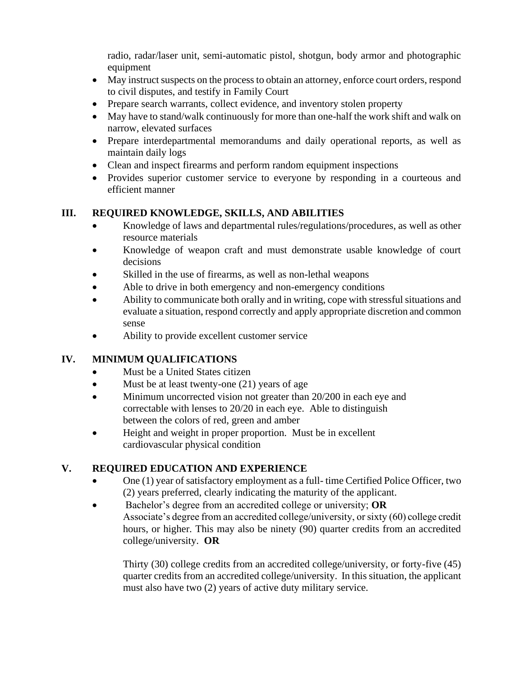radio, radar/laser unit, semi-automatic pistol, shotgun, body armor and photographic equipment

- May instruct suspects on the process to obtain an attorney, enforce court orders, respond to civil disputes, and testify in Family Court
- Prepare search warrants, collect evidence, and inventory stolen property
- May have to stand/walk continuously for more than one-half the work shift and walk on narrow, elevated surfaces
- Prepare interdepartmental memorandums and daily operational reports, as well as maintain daily logs
- Clean and inspect firearms and perform random equipment inspections
- Provides superior customer service to everyone by responding in a courteous and efficient manner

# **III. REQUIRED KNOWLEDGE, SKILLS, AND ABILITIES**

- Knowledge of laws and departmental rules/regulations/procedures, as well as other resource materials
- Knowledge of weapon craft and must demonstrate usable knowledge of court decisions
- Skilled in the use of firearms, as well as non-lethal weapons
- Able to drive in both emergency and non-emergency conditions
- Ability to communicate both orally and in writing, cope with stressful situations and evaluate a situation, respond correctly and apply appropriate discretion and common sense
- Ability to provide excellent customer service

# **IV. MINIMUM QUALIFICATIONS**

- Must be a United States citizen
- Must be at least twenty-one (21) years of age
- Minimum uncorrected vision not greater than 20/200 in each eye and correctable with lenses to 20/20 in each eye. Able to distinguish between the colors of red, green and amber
- Height and weight in proper proportion. Must be in excellent cardiovascular physical condition

# **V. REQUIRED EDUCATION AND EXPERIENCE**

- One (1) year of satisfactory employment as a full- time Certified Police Officer, two (2) years preferred, clearly indicating the maturity of the applicant.
- Bachelor's degree from an accredited college or university; **OR** Associate's degree from an accredited college/university, or sixty (60) college credit hours, or higher. This may also be ninety (90) quarter credits from an accredited college/university. **OR**

Thirty (30) college credits from an accredited college/university, or forty-five (45) quarter credits from an accredited college/university. In this situation, the applicant must also have two (2) years of active duty military service.